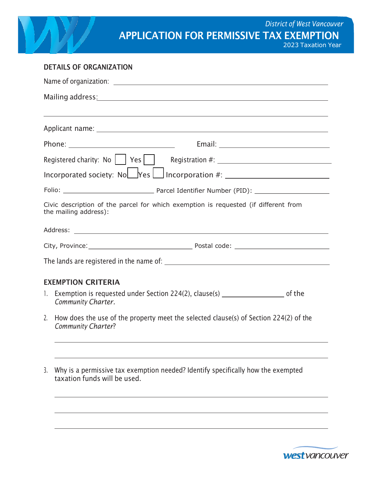| <b>District of West Vancouver</b><br><b>APPLICATION FOR PERMISSIVE TAX EXEMPTION</b><br>2023 Taxation Year                                                                                                                    |  |
|-------------------------------------------------------------------------------------------------------------------------------------------------------------------------------------------------------------------------------|--|
| <b>DETAILS OF ORGANIZATION</b>                                                                                                                                                                                                |  |
|                                                                                                                                                                                                                               |  |
| Mailing address: Mailing address: Mailing address: Mailing address: Mailing address: Mailing address: Mailing and Mailing and Mailing and Mailing and Mailing and Mailing and Mailing and Mailing and Mailing and Mailing and |  |
|                                                                                                                                                                                                                               |  |
|                                                                                                                                                                                                                               |  |
| Registered charity: No     Yes                                                                                                                                                                                                |  |
| Incorporated society: Nolley Yes<br>Incorporation #: $\frac{1}{2}$                                                                                                                                                            |  |
|                                                                                                                                                                                                                               |  |
| Civic description of the parcel for which exemption is requested (if different from<br>the mailing address):                                                                                                                  |  |
|                                                                                                                                                                                                                               |  |
|                                                                                                                                                                                                                               |  |
|                                                                                                                                                                                                                               |  |
| <b>EXEMPTION CRITERIA</b>                                                                                                                                                                                                     |  |
| 1. Exemption is requested under Section 224(2), clause(s) _______________________ of the<br>Community Charter.                                                                                                                |  |
| 2. How does the use of the property meet the selected clause(s) of Section 224(2) of the<br>Community Charter?<br>,我们也不能在这里的时候,我们也不能在这里的时候,我们也不能会在这里的时候,我们也不能会在这里的时候,我们也不能会在这里的时候,我们也不能会在这里的时候,我们也                            |  |
| ,我们也不会有什么。""我们的人,我们也不会有什么?""我们的人,我们也不会有什么?""我们的人,我们也不会有什么?""我们的人,我们也不会有什么?""我们的人                                                                                                                                              |  |

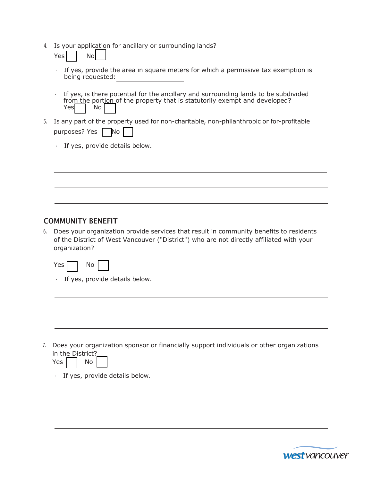4. Is your application for ancillary or surrounding lands?

Yes No

- If yes, provide the area in square meters for which a permissive tax exemption is being requested:
- If yes, is there potential for the ancillary and surrounding lands to be subdivided from the portion of the property that is statutorily exempt and developed? Yes | No
- 5. Is any part of the property used for non-charitable, non-philanthropic or for-profitable purposes? Yes No
	- $\cdot$  If yes, provide details below.

### COMMUNITY BENEFIT

6. Does your organization provide services that result in community benefits to residents of the District of West Vancouver ("District") who are not directly affiliated with your organization?

| Y<br>Aς | N٥ |
|---------|----|
|         |    |

 $\cdot$  If yes, provide details below.

7. Does your organization sponsor or financially support individuals or other organizations in the District?

| - C |  | w |  |  |
|-----|--|---|--|--|
|-----|--|---|--|--|

If yes, provide details below.

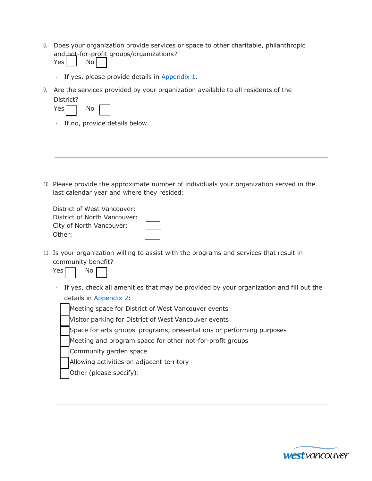8. Does your organization provide services or space to other charitable, philanthropic and not-for-profit groups/organizations?

| ۱<br>N۵<br>י |  |
|--------------|--|
|--------------|--|

- If yes, please provide details in Appendix 1.
- 9. Are the services provided by your organization available to all residents of the District?

| Yesl | N٥ |  |  |
|------|----|--|--|
|------|----|--|--|

If no, provide details below.

10. Please provide the approximate number of individuals your organization served in the last calendar year and where they resided:

District of West Vancouver: District of North Vancouver: City of North Vancouver: Other:

11. Is your organization willing to assist with the programs and services that result in community benefit?



If yes, check all amenities that may be provided by your organization and fill out the details in Appendix 2:



- Space for arts groups' programs, presentations or performing purposes
- Meeting and program space for other not-for-profit groups
- Community garden space
- Allowing activities on adjacent territory
- Other (please specify):

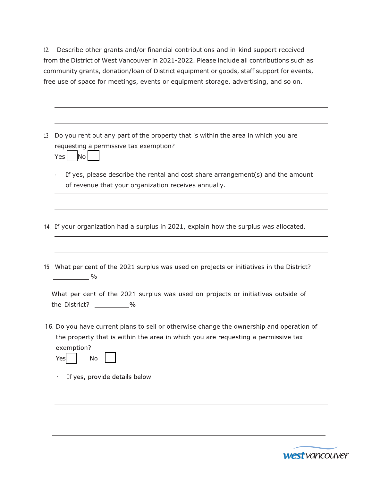12. Describe other grants and/or financial contributions and in-kind support received from the District of West Vancouver in 2021-2022. Please include all contributions such as community grants, donation/loan of District equipment or goods, staff support for events, free use of space for meetings, events or equipment storage, advertising, and so on.

| 13. Do you rent out any part of the property that is within the area in which you are<br>requesting a permissive tax exemption?<br><b>No</b><br>Yes<br>If yes, please describe the rental and cost share arrangement(s) and the amount<br>٠<br>of revenue that your organization receives annually.<br>14. If your organization had a surplus in 2021, explain how the surplus was allocated.<br>15. What per cent of the 2021 surplus was used on projects or initiatives in the District?<br>$\sim$ 0/0<br>What per cent of the 2021 surplus was used on projects or initiatives outside of<br>the District? ___________%<br>16. Do you have current plans to sell or otherwise change the ownership and operation of<br>the property that is within the area in which you are requesting a permissive tax<br>exemption?<br>No<br>Yes<br>If yes, provide details below. |  |
|---------------------------------------------------------------------------------------------------------------------------------------------------------------------------------------------------------------------------------------------------------------------------------------------------------------------------------------------------------------------------------------------------------------------------------------------------------------------------------------------------------------------------------------------------------------------------------------------------------------------------------------------------------------------------------------------------------------------------------------------------------------------------------------------------------------------------------------------------------------------------|--|
|                                                                                                                                                                                                                                                                                                                                                                                                                                                                                                                                                                                                                                                                                                                                                                                                                                                                           |  |
|                                                                                                                                                                                                                                                                                                                                                                                                                                                                                                                                                                                                                                                                                                                                                                                                                                                                           |  |
|                                                                                                                                                                                                                                                                                                                                                                                                                                                                                                                                                                                                                                                                                                                                                                                                                                                                           |  |
|                                                                                                                                                                                                                                                                                                                                                                                                                                                                                                                                                                                                                                                                                                                                                                                                                                                                           |  |
|                                                                                                                                                                                                                                                                                                                                                                                                                                                                                                                                                                                                                                                                                                                                                                                                                                                                           |  |
|                                                                                                                                                                                                                                                                                                                                                                                                                                                                                                                                                                                                                                                                                                                                                                                                                                                                           |  |
|                                                                                                                                                                                                                                                                                                                                                                                                                                                                                                                                                                                                                                                                                                                                                                                                                                                                           |  |

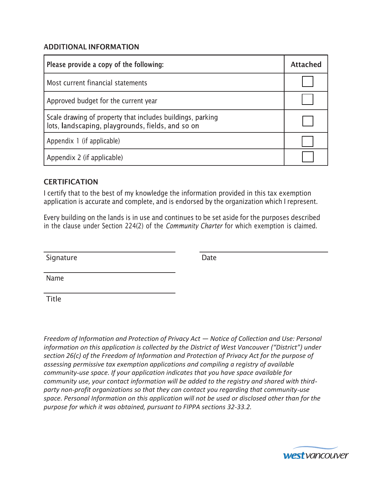#### ADDITIONAL INFORMATION

| <b>ADDITIONAL INFORMATION</b>                                                                                                                                                                 |                 |
|-----------------------------------------------------------------------------------------------------------------------------------------------------------------------------------------------|-----------------|
| Please provide a copy of the following:                                                                                                                                                       | <b>Attached</b> |
| Most current financial statements                                                                                                                                                             |                 |
| Approved budget for the current year                                                                                                                                                          |                 |
| Scale drawing of property that includes buildings, parking<br>lots, landscaping, playgrounds, fields, and so on                                                                               |                 |
| Appendix 1 (if applicable)                                                                                                                                                                    |                 |
| Appendix 2 (if applicable)                                                                                                                                                                    |                 |
| <b>CERTIFICATION</b>                                                                                                                                                                          |                 |
| I certify that to the best of my knowledge the information provided in this tax exemption<br>application is accurate and complete, and is endorsed by the organization which I represent.     |                 |
| Every building on the lands is in use and continues to be set aside for the purposes described<br>in the clause under Section 224(2) of the Community Charter for which exemption is claimed. |                 |
|                                                                                                                                                                                               |                 |

### **CERTIFICATION**

Name

Title

Freedom of Information and Protection of Privacy Act - Notice of Collection and Use: Personal information on this application is collected by the District of West Vancouver ("District") under section 26(c) of the Freedom of Information and Protection of Privacy Act for the purpose of assessing permissive tax exemption applications and compiling a registry of available community use space. If your application indicates that you have space available for community use, your contact information will be added to the registry and shared with third party non-profit organizations so that they can contact you regarding that community-use space. Personal Information on this application will not be used or disclosed other than for the purpose for which it was obtained, pursuant to FIPPA sections 32-33.2.

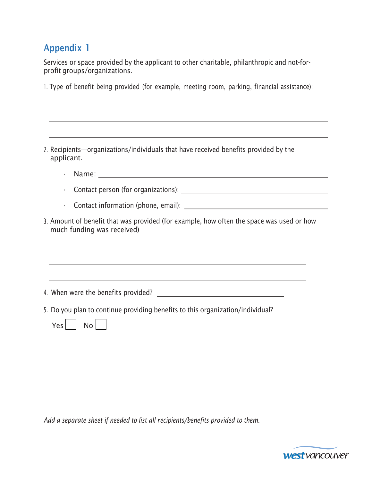# Appendix 1

Services or space provided by the applicant to other charitable, philanthropic and not-forprofit groups/organizations. 1. The Services or space provided by the applicant to other charitable, philanthropic and not-for-profit groups/organizations.<br>1. Type of benefit being provided (for example, meeting room, parking, financial assistance):<br>1

| 2. Recipients—organizations/individuals that have received benefits provided by the |  |
|-------------------------------------------------------------------------------------|--|
| applicant.                                                                          |  |

Name:

Contact person (for organizations):

- Contact information (phone, email):
- Amount of benefit that was provided (for example, how often the space was used or how much funding was received)

4. When were the benefits provided?

5. Do you plan to continue providing benefits to this organization/individual? A. When were the benefits provided?<br>
S. Do you plan to continue providing benefits to this organization/individual?<br>
Yes  $\Box$  No  $\Box$ <br>
Add a separate sheet if needed to list all recipients/benefits provided to them.<br>
West